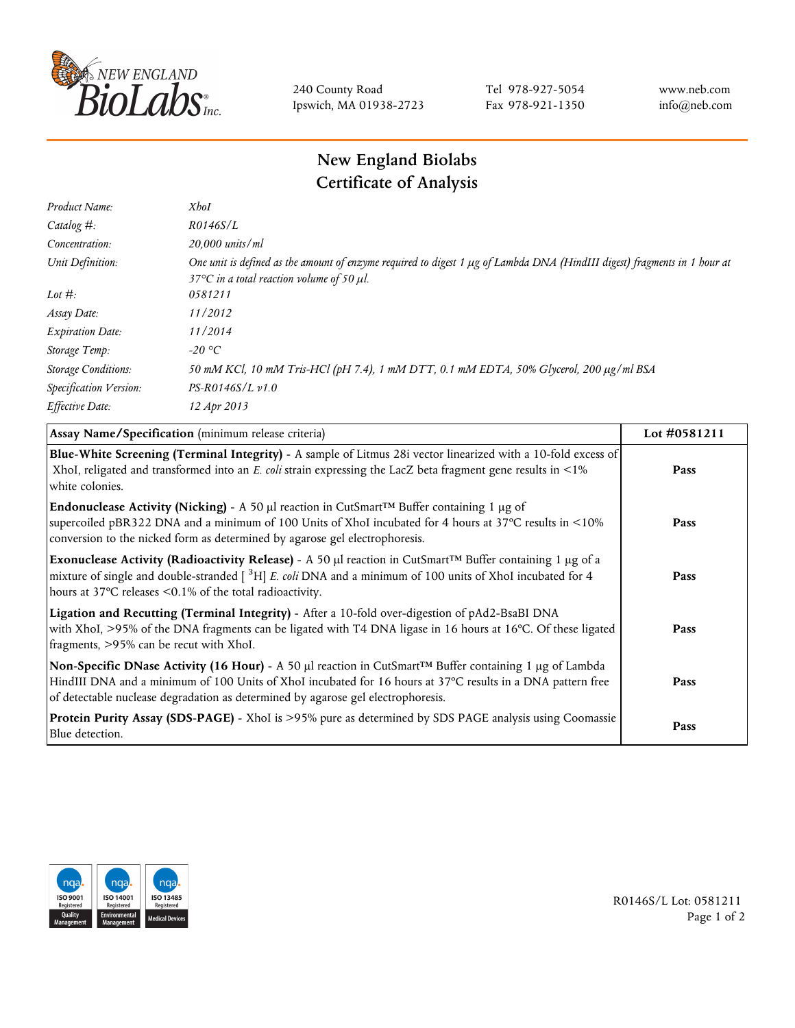

240 County Road Ipswich, MA 01938-2723 Tel 978-927-5054 Fax 978-921-1350 www.neb.com info@neb.com

## **New England Biolabs Certificate of Analysis**

| Product Name:              | <b>X</b> boI                                                                                                                                                                          |
|----------------------------|---------------------------------------------------------------------------------------------------------------------------------------------------------------------------------------|
| Catalog $#$ :              | R0146S/L                                                                                                                                                                              |
| Concentration:             | 20,000 units/ml                                                                                                                                                                       |
| Unit Definition:           | One unit is defined as the amount of enzyme required to digest 1 µg of Lambda DNA (HindIII digest) fragments in 1 hour at<br>37 $\degree$ C in a total reaction volume of 50 $\mu$ l. |
| Lot $#$ :                  | 0581211                                                                                                                                                                               |
| Assay Date:                | 11/2012                                                                                                                                                                               |
| <b>Expiration Date:</b>    | 11/2014                                                                                                                                                                               |
| Storage Temp:              | -20 °C                                                                                                                                                                                |
| <b>Storage Conditions:</b> | 50 mM KCl, 10 mM Tris-HCl (pH 7.4), 1 mM DTT, 0.1 mM EDTA, 50% Glycerol, 200 μg/ml BSA                                                                                                |
| Specification Version:     | $PS-R0146S/L \nu 1.0$                                                                                                                                                                 |
| Effective Date:            | 12 Apr 2013                                                                                                                                                                           |

| Assay Name/Specification (minimum release criteria)                                                                                                                                                                                                                                                             | Lot #0581211 |
|-----------------------------------------------------------------------------------------------------------------------------------------------------------------------------------------------------------------------------------------------------------------------------------------------------------------|--------------|
| Blue-White Screening (Terminal Integrity) - A sample of Litmus 28i vector linearized with a 10-fold excess of<br>XhoI, religated and transformed into an E. coli strain expressing the LacZ beta fragment gene results in <1%<br>white colonies.                                                                | Pass         |
| <b>Endonuclease Activity (Nicking)</b> - A 50 µl reaction in CutSmart <sup>TM</sup> Buffer containing 1 µg of<br>supercoiled pBR322 DNA and a minimum of 100 Units of XhoI incubated for 4 hours at 37°C results in <10%<br>conversion to the nicked form as determined by agarose gel electrophoresis.         | Pass         |
| Exonuclease Activity (Radioactivity Release) - A 50 µl reaction in CutSmart™ Buffer containing 1 µg of a<br>mixture of single and double-stranded [ <sup>3</sup> H] E. coli DNA and a minimum of 100 units of XhoI incubated for 4<br>hours at $37^{\circ}$ C releases $\leq 0.1\%$ of the total radioactivity. | Pass         |
| Ligation and Recutting (Terminal Integrity) - After a 10-fold over-digestion of pAd2-BsaBI DNA<br>with XhoI, >95% of the DNA fragments can be ligated with T4 DNA ligase in 16 hours at 16°C. Of these ligated<br>fragments, >95% can be recut with XhoI.                                                       | Pass         |
| Non-Specific DNase Activity (16 Hour) - A 50 µl reaction in CutSmart™ Buffer containing 1 µg of Lambda<br>HindIII DNA and a minimum of 100 Units of XhoI incubated for 16 hours at 37°C results in a DNA pattern free<br>of detectable nuclease degradation as determined by agarose gel electrophoresis.       | Pass         |
| Protein Purity Assay (SDS-PAGE) - XhoI is >95% pure as determined by SDS PAGE analysis using Coomassie<br>Blue detection.                                                                                                                                                                                       | Pass         |



R0146S/L Lot: 0581211 Page 1 of 2